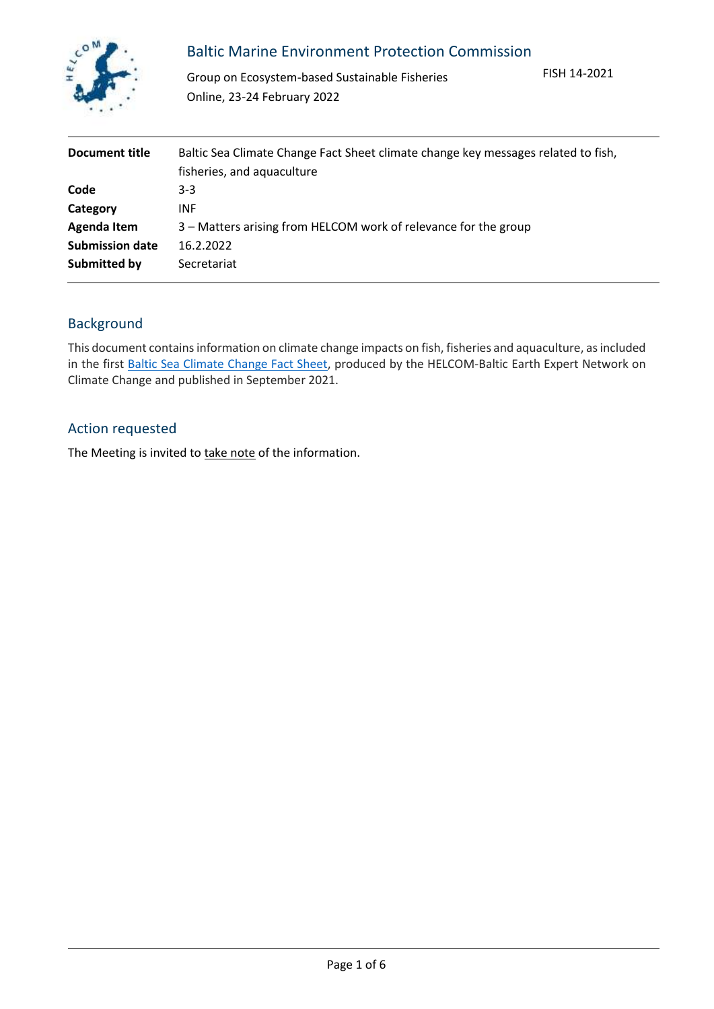

## Baltic Marine Environment Protection Commission

Group on Ecosystem-based Sustainable Fisheries Online, 23-24 February 2022

FISH 14-2021

| Document title         | Baltic Sea Climate Change Fact Sheet climate change key messages related to fish,<br>fisheries, and aquaculture |
|------------------------|-----------------------------------------------------------------------------------------------------------------|
| Code                   | $3-3$                                                                                                           |
| Category               | <b>INF</b>                                                                                                      |
| Agenda Item            | 3 – Matters arising from HELCOM work of relevance for the group                                                 |
| <b>Submission date</b> | 16.2.2022                                                                                                       |
| Submitted by           | Secretariat                                                                                                     |

## Background

This document contains information on climate change impacts on fish, fisheries and aquaculture, as included in the first [Baltic Sea Climate Change Fact Sheet,](https://portal.helcom.fi/meetings/FISH%2014-2021-976/default.aspx?InitialTabId=Ribbon%2EDocument&VisibilityContext=WSSTabPersistence#InplviewHash53523fb7-393f-443d-9c14-1f4bb0f4f965=https://helcom.fi/wp-content/uploads/2021/09/Baltic-Sea-Climate-Change-Fact-Sheet-2021.pdf) produced by the HELCOM-Baltic Earth Expert Network on Climate Change and published in September 2021.

## Action requested

The Meeting is invited to take note of the information.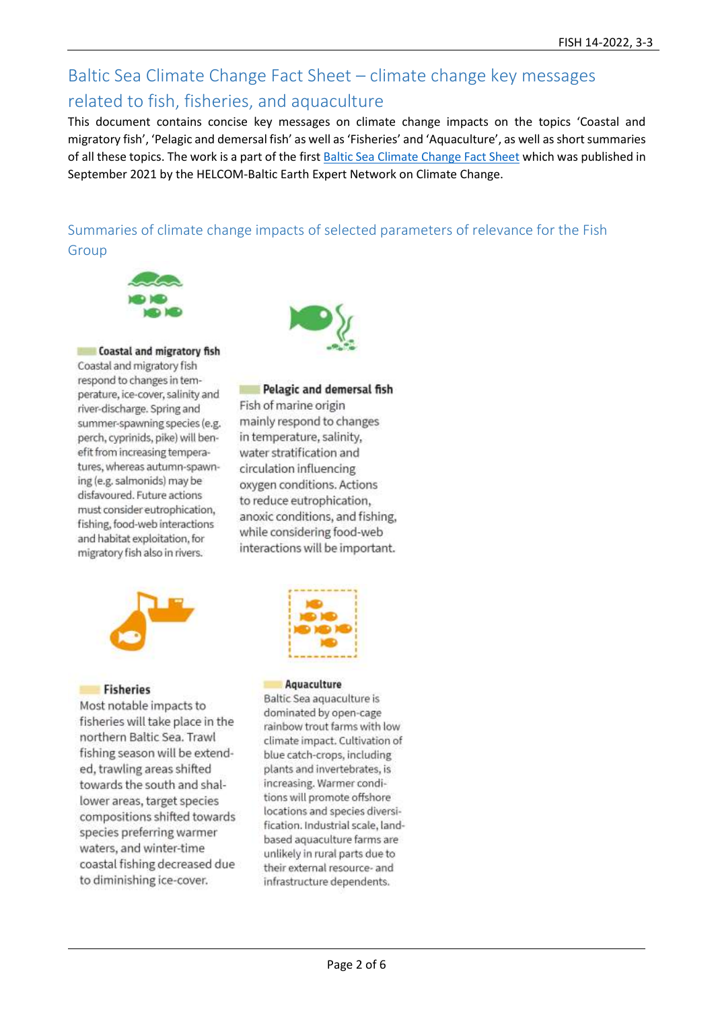# Baltic Sea Climate Change Fact Sheet – climate change key messages related to fish, fisheries, and aquaculture

This document contains concise key messages on climate change impacts on the topics 'Coastal and migratory fish', 'Pelagic and demersal fish' as well as 'Fisheries' and 'Aquaculture', as well as short summaries of all these topics. The work is a part of the firs[t Baltic Sea Climate Change Fact Sheet](https://helcom.fi/wp-content/uploads/2021/09/Baltic-Sea-Climate-Change-Fact-Sheet-2021.pdf) which was published in September 2021 by the HELCOM-Baltic Earth Expert Network on Climate Change.

# Summaries of climate change impacts of selected parameters of relevance for the Fish Group







## Pelagic and demersal fish

Fish of marine origin mainly respond to changes in temperature, salinity, water stratification and circulation influencing oxygen conditions. Actions to reduce eutrophication. anoxic conditions, and fishing, while considering food-web interactions will be important.





### **Fisheries**

Most notable impacts to fisheries will take place in the northern Baltic Sea. Trawl fishing season will be extended, trawling areas shifted towards the south and shallower areas, target species compositions shifted towards species preferring warmer waters, and winter-time coastal fishing decreased due to diminishing ice-cover.



Baltic Sea aquaculture is dominated by open-cage rainbow trout farms with low climate impact. Cultivation of blue catch-crops, including plants and invertebrates, is increasing. Warmer conditions will promote offshore locations and species diversification. Industrial scale, landbased aquaculture farms are unlikely in rural parts due to their external resource- and infrastructure dependents.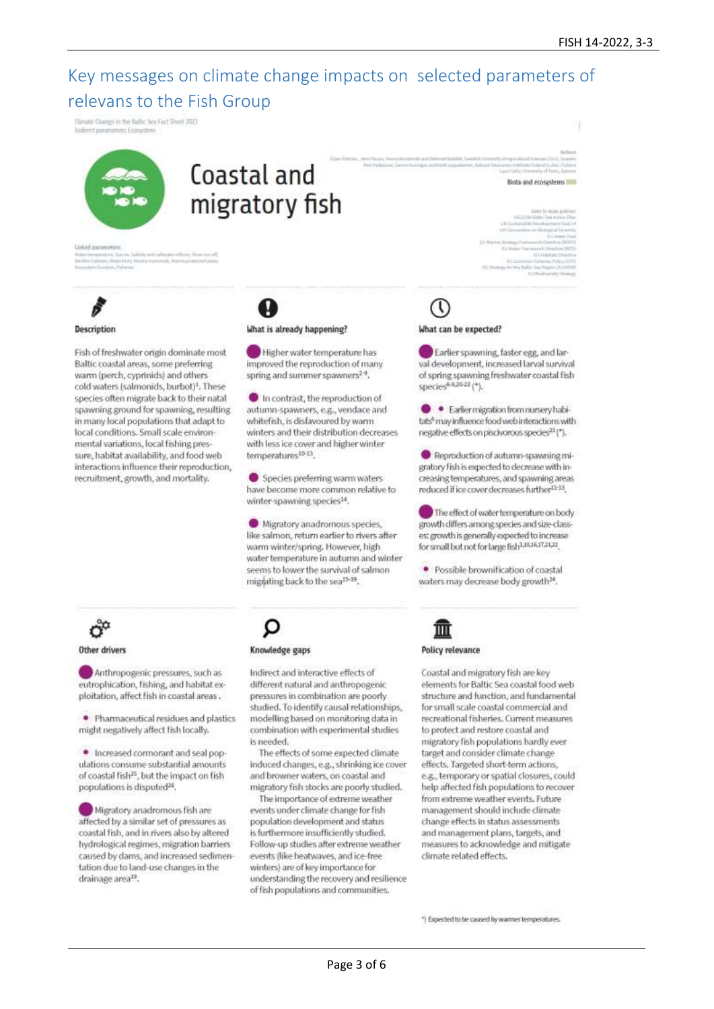# Key messages on climate change impacts on selected parameters of relevans to the Fish Group

.<br>Climate Change in the Baltic Sea Fact Sheet 2021<br>Indirect parameters: Ecosystem



# Coastal and migratory fish



### **Description**

Fish of freshwater origin dominate most Baltic coastal areas, some preferring warm (perch, cyprinids) and others cold waters (salmonids, burbot)<sup>1</sup>. These species often migrate back to their natal spawning ground for spawning, resulting in many local populations that adapt to local conditions. Small scale environmental variations, local fishing pressure, habitat availability, and food web interactions influence their reproduction, recruitment, growth, and mortality.

# What is already happening?

Higher water temperature has improved the reproduction of many spring and summer spawners<sup>2-9</sup>.

In contrast, the reproduction of autumn-spawners, e.g., vendace and whitefish, is disfavoured by warm winters and their distribution decreases with less ice cover and higher winter temperatures<sup>10-13</sup>.

Species preferring warm waters have become more common relative to winter-spawning species<sup>14</sup>.

Migratory anadromous species, like salmon, return earlier to rivers after warm winter/spring. However, high water temperature in autumn and winter seems to lower the survival of salmon migrating back to the sea<sup>15-19</sup>.

### What can be expected?

Earlier spawning, faster egg, and larval development, increased larval survival of spring spawning freshwater coastal fish species<sup>6-0,20-22</sup> (\*),

· Earlier migration from nursery habitats<sup>6</sup> may influence food web interactions with negative effects on piscivorous species<sup>23</sup> (\*).

Reproduction of autumn-spawning migratory fish is expected to decrease with increasing temperatures, and spawning areas reduced if ice cover decreases further<sup>11-13</sup>.

The effect of water temperature on body growth differs among species and size-classes: growth is generally expected to increase for small but not for large fish3,10,16,17,21,22

· Possible brownification of coastal waters may decrease body growth<sup>24</sup>.



#### Other drivers

Anthropogenic pressures, such as eutrophication, fishing, and habitat exploitation, affect fish in coastal areas,

· Pharmaceutical residues and plastics might negatively affect fish locally.

. Increased cormorant and seal populations consume substantial amounts of coastal fish<sup>25</sup>, but the impact on fish populations is disputed<sup>26</sup>.

Migratory anadromous fish are affected by a similar set of pressures as coastal fish, and in rivers also by altered hydrological regimes, migration barriers caused by dams, and increased sedimentation due to land-use changes in the drainage area<sup>19</sup>.

### Knowledge gaps

Indirect and interactive effects of different natural and anthropogenic pressures in combination are poorly studied. To identify causal relationships, modelling based on monitoring data in combination with experimental studies is needed.

The effects of some expected climate induced changes, e.g., shrinking ice cover and browner waters, on coastal and migratory fish stocks are poorly studied.

The importance of extreme weather events under climate change for fish population development and status is furthermore insufficiently studied. Follow-up studies after extreme weather events (like heatwaves, and ice-free winters) are of key importance for understanding the recovery and resilience of fish populations and communities.



### Policy relevance

Coastal and migratory fish are key elements for Baltic Sea coastal food web structure and function, and fundamental for small scale coastal commercial and recreational fisheries. Current measures to protect and restore coastal and migratory fish populations hardly ever target and consider climate change effects, Targeted short-term actions, e.g., temporary or spatial closures, could help affected fish populations to recover from extreme weather events, Future management should include climate change effects in status assessments and management plans, targets, and measures to acknowledge and mitigate climate related effects.

\*) Expected to be caused by warmer temperatures.

**Biota and ecosystems** IIIII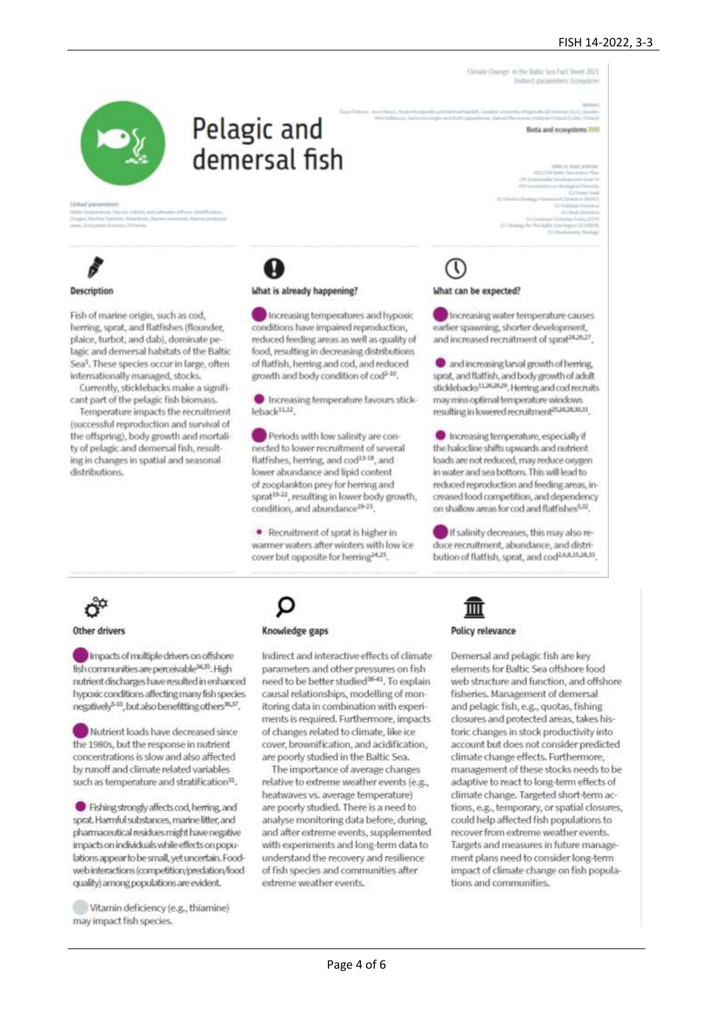### FISH 14-2022, 3-3

Clerate Charge in the Baltic Sea Fact Steelt 2021 drect purposeters; Econom

Birts and acceptants 100



# Pelagic and demersal fish



### **Description**

Fish of marine origin, such as cod, berring, sprat, and flatfishes (flounder, plaice, turbot, and dab), dominate pelagic and demersal habitats of the Baltic Sea<sup>1</sup>. These species occur in large, often internationally managed, stocks.

Currently, sticklebacks make a significant part of the pelagic fish biomass.

Temperature impacts the recruitment (successful reproduction and survival of the offspring), body growth and mortality of pelagic and demersal fish, resulting in changes in spatial and seasonal distributions.

### What is already happening?

Increasing temperatures and hypoxic conditions have impaired reproduction. reduced feeding areas as well as quality of food, resulting in decreasing distributions of flatfish, herring and cod, and reduced growth and body condition of cod<sup>2-10</sup>.

Increasing temperature favours stickleback<sup>11,12</sup>

Periods with low salinity are connected to lower recruitment of several flatfishes, herring, and cod<sup>13-18</sup>, and lower abundance and lipid content of zooplankton prey for herring and sprat<sup>19-22</sup>, resulting in lower body growth, condition, and abundance<sup>19-23</sup>.

· Recruitment of sprat is higher in warmer waters after winters with low ice cover but opposite for herring<sup>24,25</sup>.

# What can be expected?

Increasing water temperature causes earlier spawning, shorter development. and increased recruitment of sprat<sup>24,25,27</sup>.

and increasing tarval growth of herring. sprat, and flatfish, and body growth of adult. sticklebacks<sup>11262629</sup>. Herring and cod recruits may miss optimal temperature windows resulting in lowered recruitment<sup>25,26,28,30,31</sup>.

Increasing temperature, especially if the halocline shifts upwards and nutrient loads are not reduced, may reduce oxygen in water and sea bottom. This will lead to reduced reproduction and feeding areas, increased food competition, and dependency on shallow areas for cod and flatfishes<sup>5,12</sup>.

If salinity decreases, this may also reduce recruitment, abundance, and distribution of flatfish, sprat, and cod<sup>2,6,8,15,26,33</sup>.



### Other drivers

Impacts of multiple drivers on offshore fish communities are perceivable<sup>34,35</sup>. High nutrient discharges have resulted in enhanced hypoxic conditions affecting many fish species negatively<sup>540</sup>, but also benefitting others<sup>36,37</sup>.

Nutrient loads have decreased since the 1980s, but the response in nutrient concentrations is slow and also affected by runoff and climate related variables such as temperature and stratification<sup>31</sup>.

Fishing strongly affects cod, herring, and sprat. Hammful substances, marine litter, and pharmaceutical residues might have negative impacts on individuals while effects on populations appear to be small, yet uncertain. Foodweb interactions (competition/predation/food quality) among populations are evident.

Vitamin deficiency (e.g., thiamine) may impact fish species.

Knowledge gaps

Indirect and interactive effects of climate parameters and other pressures on fish need to be better studied<sup>36-41</sup>. To explain causal relationships, modelling of monitoring data in combination with experiments is required. Furthermore, impacts of changes related to climate, like ice cover, brownification, and acidification. are poorly studied in the Baltic Sea.

The importance of average changes relative to extreme weather events (e.g., heatwaves vs. average temperature) are poorly studied. There is a need to analyse monitoring data before, during, and after extreme events, supplemented with experiments and long-term data to understand the recovery and resilience of fish species and communities after extreme weather events.



### **Policy relevance**

Demersal and pelagic fish are key elements for Baltic Sea offshore food web structure and function, and offshore fisheries, Management of demersal and pelagic fish, e.g., quotas, fishing closures and protected areas, takes historic changes in stock productivity into account but does not consider predicted climate change effects, Furthermore, management of these stocks needs to be adaptive to react to long-term effects of climate change. Targeted short-term actions, e.g., temporary, or spatial closures, could help affected fish populations to recover from extreme weather events. Targets and measures in future management plans need to consider long-term impact of climate change on fish populations and communities.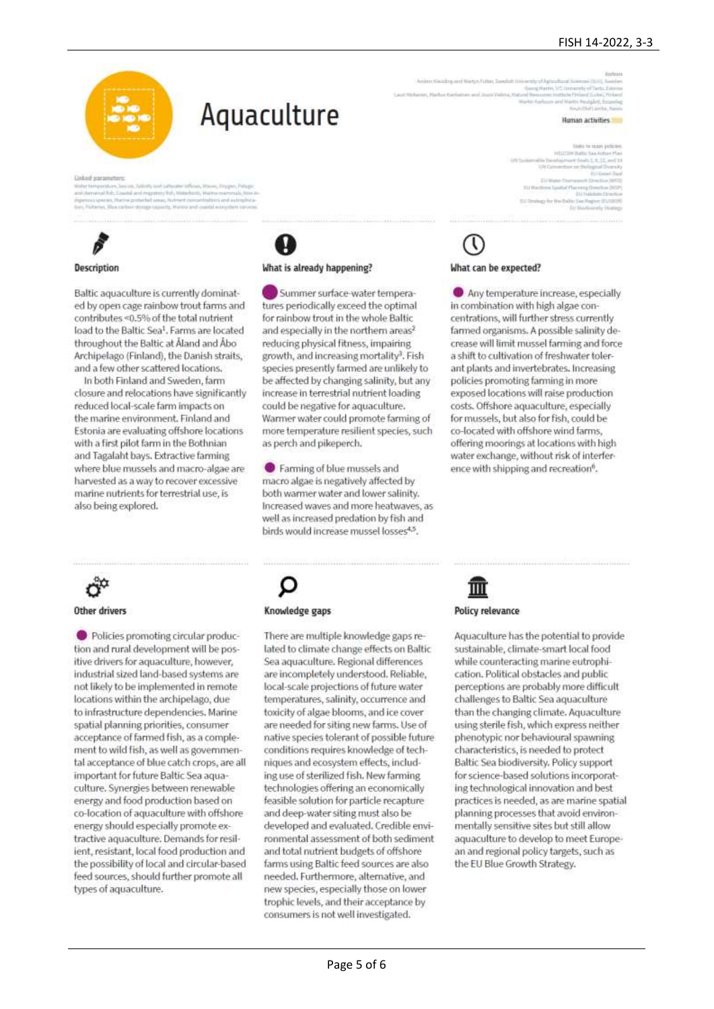### FISH 14-2022, 3-3



# Aquaculture

Unlied statementer

# Description

Baltic aguaculture is currently dominated by open cage rainbow trout farms and contributes <0.5% of the total nutrient load to the Baltic Sea<sup>1</sup>. Farms are located throughout the Baltic at Åland and Åbo Archipelago (Finland), the Danish straits, and a few other scattered locations.

In both Finland and Sweden, farm closure and relocations have significantly reduced local-scale farm impacts on the marine environment. Finland and Estonia are evaluating offshore locations with a first pilot farm in the Bothnian and Tagalaht bays. Extractive farming where blue mussels and macro-algae are harvested as a way to recover excessive marine nutrients for terrestrial use, is also being explored.



Other drivers

Policies promoting circular production and rural development will be positive drivers for aquaculture, however, industrial sized land-based systems are not likely to be implemented in remote locations within the archipelago, due to infrastructure dependencies. Marine spatial planning priorities, consumer acceptance of farmed fish, as a complement to wild fish, as well as governmental acceptance of blue catch crops, are all important for future Baltic Sea aquaculture. Synergies between renewable energy and food production based on co-location of aquaculture with offshore energy should especially promote extractive aquaculture. Demands for resilient, resistant, local food production and the possibility of local and circular-based feed sources, should further promote all types of aquaculture.

What is already happening?

Summer surface-water temperatures periodically exceed the optimal for rainbow trout in the whole Baltic and especially in the northern areas<sup>2</sup> reducing physical fitness, impairing growth, and increasing mortality<sup>3</sup>. Fish species presently farmed are unlikely to be affected by changing salinity, but any increase in terrestrial nutrient loading could be negative for aquaculture. Warmer water could promote farming of more temperature resilient species, such as perch and pikeperch.

Se Farming of blue mussels and macro algae is negatively affected by both warmer water and lower salinity. Increased waves and more heatwaves, as well as increased predation by fish and birds would increase mussel losses4,5.

Human activities

What can be expected?

Any temperature increase, especially in combination with high algae concentrations, will further stress currently farmed organisms. A possible salinity decrease will limit mussel farming and force a shift to cultivation of freshwater tolerant plants and invertebrates, Increasing policies promoting farming in more exposed locations will raise production costs. Offshore aquaculture, especially for mussels, but also for fish, could be co-located with offshore wind farms, offering moorings at locations with high water exchange, without risk of interference with shipping and recreation<sup>6</sup>.



There are multiple knowledge gaps related to climate change effects on Baltic Sea aquaculture. Regional differences are incompletely understood. Reliable, local-scale projections of future water temperatures, salinity, occurrence and toxicity of algae blooms, and ice cover are needed for siting new farms. Use of native species tolerant of possible future conditions requires knowledge of techniques and ecosystem effects, including use of sterilized fish. New farming technologies offering an economically feasible solution for particle recapture and deep-water siting must also be developed and evaluated. Credible environmental assessment of both sediment and total nutrient budgets of offshore farms using Baltic feed sources are also needed. Furthermore, alternative, and new species, especially those on lower trophic levels, and their acceptance by consumers is not well investigated.



Aquaculture has the potential to provide sustainable, climate-smart local food while counteracting marine eutrophication. Political obstacles and public perceptions are probably more difficult challenges to Baltic Sea aquaculture than the changing climate. Aquaculture using sterile fish, which express neither phenotypic nor behavioural spawning characteristics, is needed to protect Baltic Sea biodiversity. Policy support for science-based solutions incorporating technological innovation and best practices is needed, as are marine spatial planning processes that avoid environmentally sensitive sites but still allow aquaculture to develop to meet European and regional policy targets, such as

the EU Blue Growth Strategy.